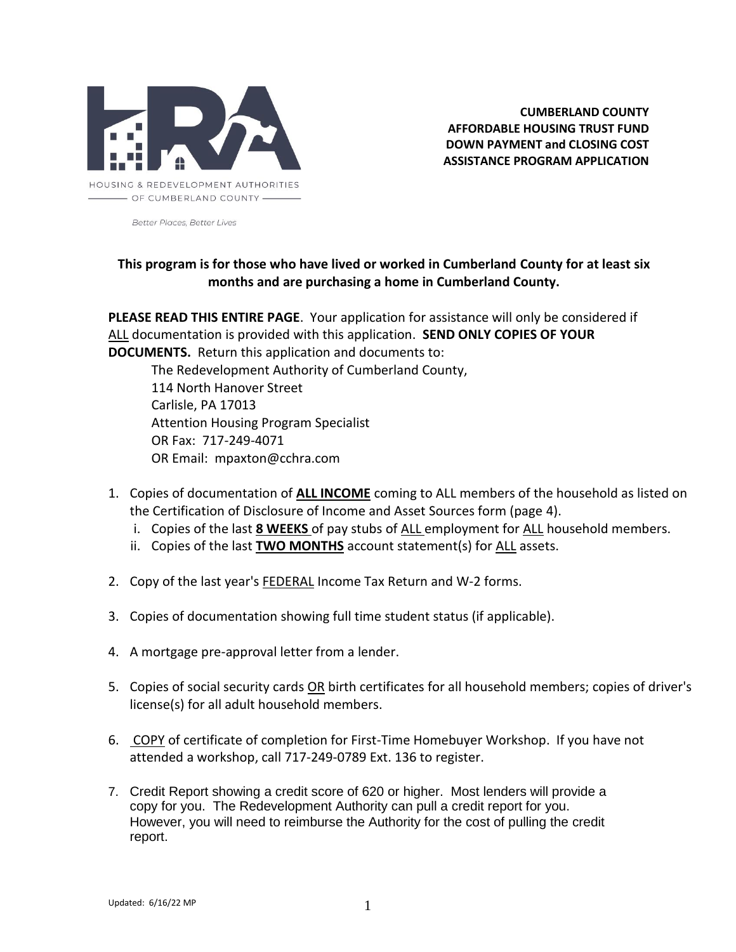

**CUMBERLAND COUNTY AFFORDABLE HOUSING TRUST FUND DOWN PAYMENT and CLOSING COST ASSISTANCE PROGRAM APPLICATION**

**Better Places Better Lives** 

# **This program is for those who have lived or worked in Cumberland County for at least six months and are purchasing a home in Cumberland County.**

**PLEASE READ THIS ENTIRE PAGE**. Your application for assistance will only be considered if ALL documentation is provided with this application. **SEND ONLY COPIES OF YOUR DOCUMENTS.** Return this application and documents to:

The Redevelopment Authority of Cumberland County, 114 North Hanover Street Carlisle, PA 17013 Attention Housing Program Specialist OR Fax: 717-249-4071 OR Email: mpaxton@cchra.com

- 1. Copies of documentation of **ALL INCOME** coming to ALL members of the household as listed on the Certification of Disclosure of Income and Asset Sources form (page 4).
	- i. Copies of the last **8 WEEKS** of pay stubs of ALL employment for ALL household members.
	- ii. Copies of the last **TWO MONTHS** account statement(s) for ALL assets.
- 2. Copy of the last year's **FEDERAL** Income Tax Return and W-2 forms.
- 3. Copies of documentation showing full time student status (if applicable).
- 4. A mortgage pre-approval letter from a lender.
- 5. Copies of social security cards OR birth certificates for all household members; copies of driver's license(s) for all adult household members.
- 6. COPY of certificate of completion for First-Time Homebuyer Workshop. If you have not attended a workshop, call 717-249-0789 Ext. 136 to register.
- 7. Credit Report showing a credit score of 620 or higher. Most lenders will provide a copy for you. The Redevelopment Authority can pull a credit report for you. However, you will need to reimburse the Authority for the cost of pulling the credit report.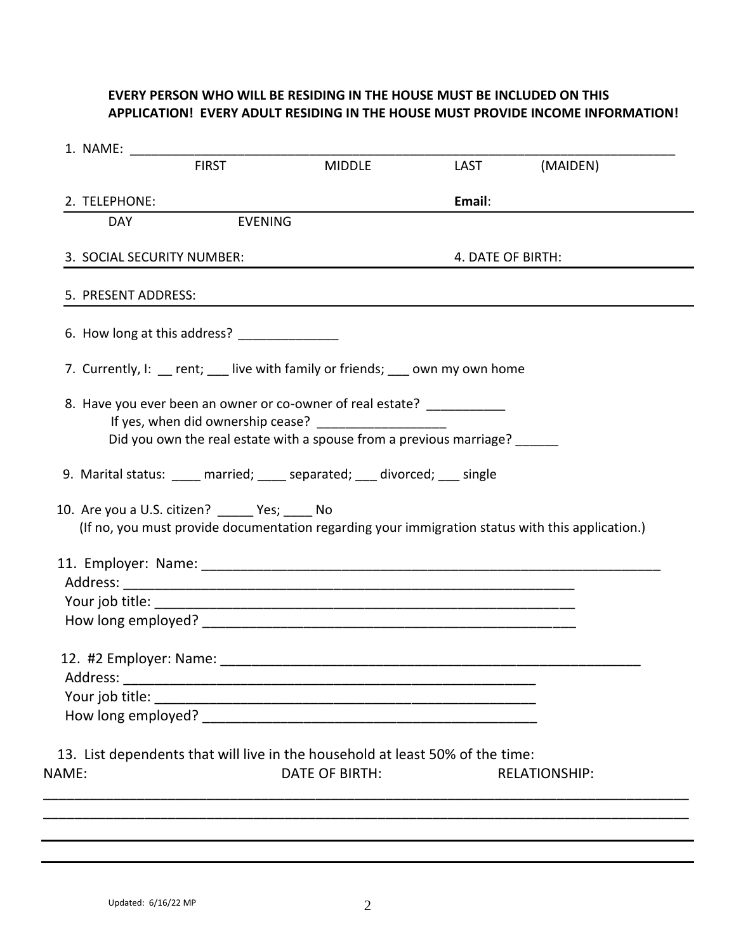# **EVERY PERSON WHO WILL BE RESIDING IN THE HOUSE MUST BE INCLUDED ON THIS APPLICATION! EVERY ADULT RESIDING IN THE HOUSE MUST PROVIDE INCOME INFORMATION!**

| 1. NAME:                                         |                                              |                                                                                                                                               |                   |          |
|--------------------------------------------------|----------------------------------------------|-----------------------------------------------------------------------------------------------------------------------------------------------|-------------------|----------|
|                                                  | <b>FIRST</b>                                 | <b>MIDDLE</b>                                                                                                                                 | LAST              | (MAIDEN) |
| 2. TELEPHONE:                                    |                                              |                                                                                                                                               | Email:            |          |
| <b>DAY</b>                                       | <b>EVENING</b>                               |                                                                                                                                               |                   |          |
| 3. SOCIAL SECURITY NUMBER:                       |                                              |                                                                                                                                               | 4. DATE OF BIRTH: |          |
| 5. PRESENT ADDRESS:                              |                                              |                                                                                                                                               |                   |          |
|                                                  | 6. How long at this address? _______________ |                                                                                                                                               |                   |          |
|                                                  |                                              | 7. Currently, I: rent; live with family or friends; own my own home                                                                           |                   |          |
|                                                  |                                              | 8. Have you ever been an owner or co-owner of real estate? ___________<br>Did you own the real estate with a spouse from a previous marriage? |                   |          |
|                                                  |                                              | 9. Marital status: _____ married; _____ separated; ___ divorced; ___ single                                                                   |                   |          |
| 10. Are you a U.S. citizen? ______ Yes; _____ No |                                              | (If no, you must provide documentation regarding your immigration status with this application.)                                              |                   |          |
|                                                  |                                              |                                                                                                                                               |                   |          |
|                                                  |                                              |                                                                                                                                               |                   |          |
|                                                  |                                              |                                                                                                                                               |                   |          |
|                                                  |                                              |                                                                                                                                               |                   |          |
|                                                  |                                              |                                                                                                                                               |                   |          |
| Address:                                         |                                              |                                                                                                                                               |                   |          |
|                                                  |                                              |                                                                                                                                               |                   |          |
|                                                  |                                              |                                                                                                                                               |                   |          |
|                                                  |                                              | 13. List dependents that will live in the household at least 50% of the time:                                                                 |                   |          |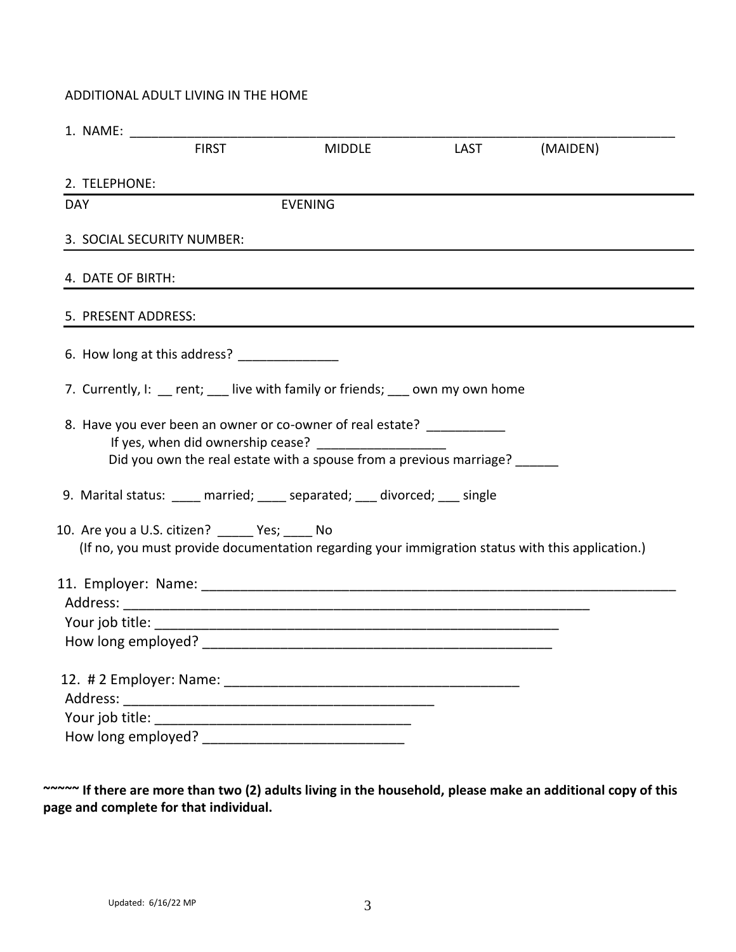## ADDITIONAL ADULT LIVING IN THE HOME

|                     | <b>FIRST</b>                                   | <b>MIDDLE</b>                                                                                                                                       | <b>Example 12</b> | (MAIDEN) |
|---------------------|------------------------------------------------|-----------------------------------------------------------------------------------------------------------------------------------------------------|-------------------|----------|
| 2. TELEPHONE:       |                                                |                                                                                                                                                     |                   |          |
| <b>DAY</b>          |                                                | <b>EVENING</b>                                                                                                                                      |                   |          |
|                     | 3. SOCIAL SECURITY NUMBER:                     |                                                                                                                                                     |                   |          |
| 4. DATE OF BIRTH:   |                                                |                                                                                                                                                     |                   |          |
| 5. PRESENT ADDRESS: |                                                |                                                                                                                                                     |                   |          |
|                     | 6. How long at this address? ________________  |                                                                                                                                                     |                   |          |
|                     |                                                | 7. Currently, I: rent; live with family or friends; own my own home                                                                                 |                   |          |
|                     |                                                | 8. Have you ever been an owner or co-owner of real estate? ___________<br>Did you own the real estate with a spouse from a previous marriage? _____ |                   |          |
|                     |                                                | 9. Marital status: _____ married; _____ separated; ____ divorced; ___ single                                                                        |                   |          |
|                     | 10. Are you a U.S. citizen? _____ Yes; ____ No | (If no, you must provide documentation regarding your immigration status with this application.)                                                    |                   |          |
|                     |                                                |                                                                                                                                                     |                   |          |
|                     |                                                |                                                                                                                                                     |                   |          |
|                     |                                                |                                                                                                                                                     |                   |          |
|                     |                                                |                                                                                                                                                     |                   |          |
|                     |                                                |                                                                                                                                                     |                   |          |
|                     |                                                |                                                                                                                                                     |                   |          |

**~~~~~ If there are more than two (2) adults living in the household, please make an additional copy of this page and complete for that individual.**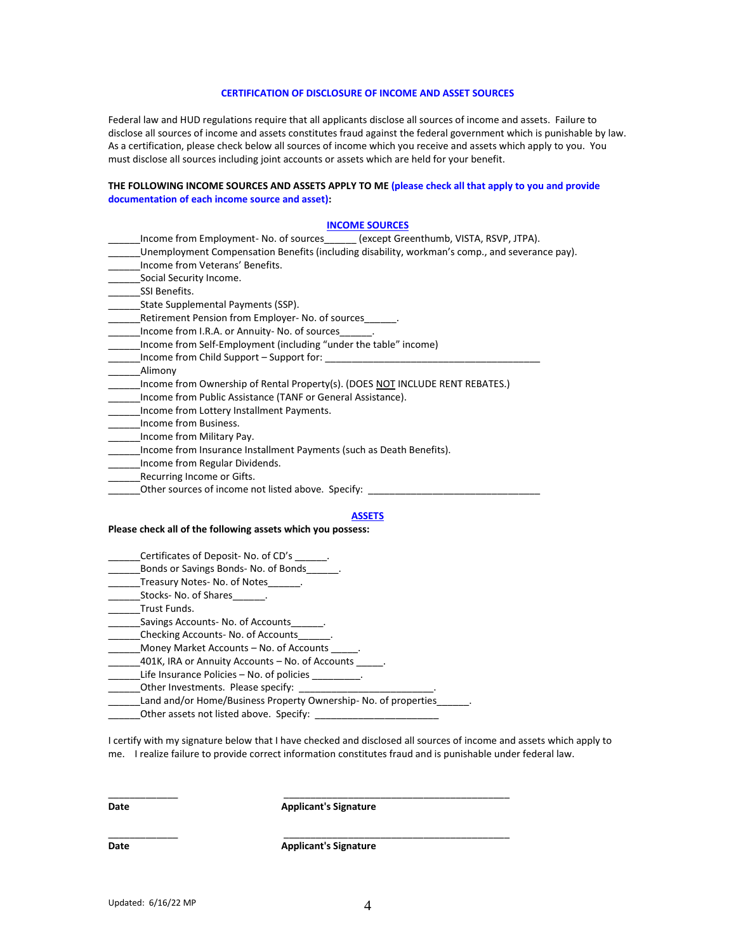#### **CERTIFICATION OF DISCLOSURE OF INCOME AND ASSET SOURCES**

Federal law and HUD regulations require that all applicants disclose all sources of income and assets. Failure to disclose all sources of income and assets constitutes fraud against the federal government which is punishable by law. As a certification, please check below all sources of income which you receive and assets which apply to you. You must disclose all sources including joint accounts or assets which are held for your benefit.

#### **THE FOLLOWING INCOME SOURCES AND ASSETS APPLY TO ME (please check all that apply to you and provide documentation of each income source and asset):**

#### **INCOME SOURCES**

- \_\_\_\_\_\_Income from Employment- No. of sources\_\_\_\_\_\_ (except Greenthumb, VISTA, RSVP, JTPA).
- \_\_\_\_\_\_Unemployment Compensation Benefits (including disability, workman's comp., and severance pay).
- \_\_\_\_\_\_Income from Veterans' Benefits.
- Social Security Income.
- SSI Benefits.
- State Supplemental Payments (SSP).
- \_Retirement Pension from Employer- No. of sources\_\_
- \_\_\_\_\_\_Income from I.R.A. or Annuity- No. of sources\_\_\_\_\_\_.
- \_\_\_\_\_\_Income from Self-Employment (including "under the table" income)
- \_\_\_\_\_\_Income from Child Support Support for: \_\_\_\_\_\_\_\_\_\_\_\_\_\_\_\_\_\_\_\_\_\_\_\_\_\_\_\_\_\_\_\_\_\_\_\_\_\_\_\_
- \_\_\_\_\_\_Alimony
- Income from Ownership of Rental Property(s). (DOES NOT INCLUDE RENT REBATES.)
- \_\_\_\_\_\_Income from Public Assistance (TANF or General Assistance).
- \_\_\_\_\_\_Income from Lottery Installment Payments.
- \_\_\_\_\_\_Income from Business.
- \_\_\_\_\_\_Income from Military Pay.
- \_\_\_\_\_\_Income from Insurance Installment Payments (such as Death Benefits).
- \_\_\_\_\_\_Income from Regular Dividends.
- Recurring Income or Gifts.
- \_Other sources of income not listed above. Specify: \_\_\_\_

## **ASSETS**

#### **Please check all of the following assets which you possess:**

- Certificates of Deposit- No. of CD's
- Bonds or Savings Bonds- No. of Bonds
- \_\_\_\_\_\_Treasury Notes- No. of Notes\_\_\_\_\_\_.
- Stocks- No. of Shares \_\_\_\_\_\_.
- Trust Funds.
- Savings Accounts- No. of Accounts
- Checking Accounts- No. of Accounts\_
- \_Money Market Accounts No. of Accounts
- 401K, IRA or Annuity Accounts No. of Accounts
- \_\_\_\_\_\_Life Insurance Policies No. of policies \_\_\_\_\_\_\_\_\_.
- \_\_\_Other Investments. Please specify: \_
- Land and/or Home/Business Property Ownership- No. of properties
- \_\_\_\_\_\_Other assets not listed above. Specify: \_\_\_\_\_\_\_\_\_\_\_\_\_\_\_\_\_\_\_\_\_\_\_

I certify with my signature below that I have checked and disclosed all sources of income and assets which apply to me. I realize failure to provide correct information constitutes fraud and is punishable under federal law.

**Date Contract Applicant's Signature** 

\_\_\_\_\_\_\_\_\_\_\_\_\_ \_\_\_\_\_\_\_\_\_\_\_\_\_\_\_\_\_\_\_\_\_\_\_\_\_\_\_\_\_\_\_\_\_\_\_\_\_\_\_\_\_\_

\_\_\_\_\_\_\_\_\_\_\_\_\_ \_\_\_\_\_\_\_\_\_\_\_\_\_\_\_\_\_\_\_\_\_\_\_\_\_\_\_\_\_\_\_\_\_\_\_\_\_\_\_\_\_\_

**Date Contract Applicant's Signature**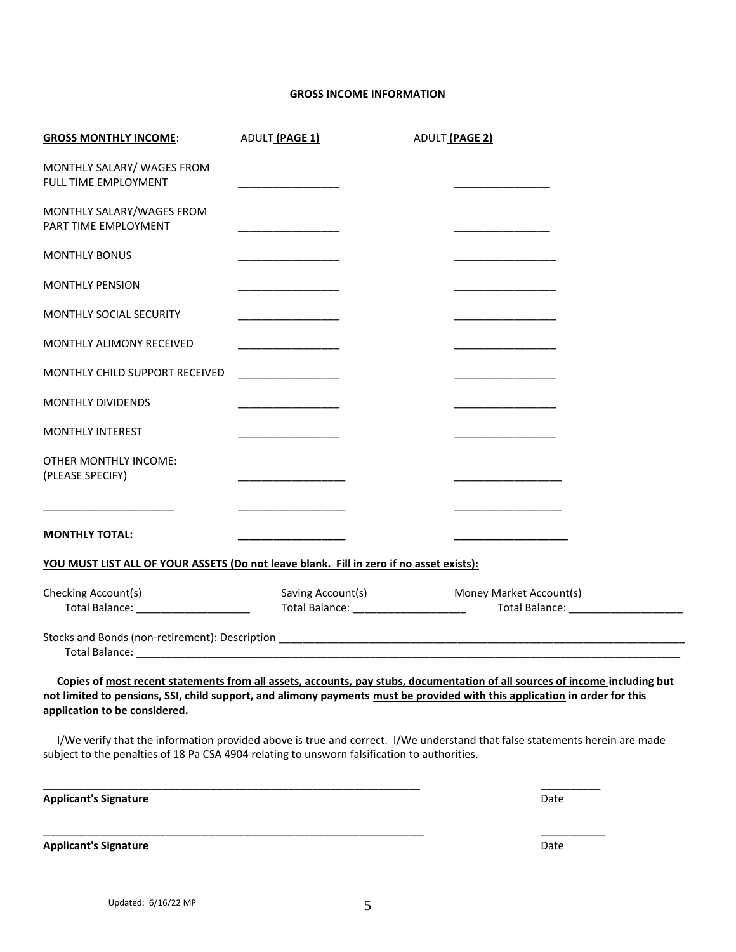## **GROSS INCOME INFORMATION**

| <b>GROSS MONTHLY INCOME:</b>                                                                                                                                | ADULT (PAGE 1)                          | ADULT (PAGE 2)    |                                                                                                                                                                                                                                                           |
|-------------------------------------------------------------------------------------------------------------------------------------------------------------|-----------------------------------------|-------------------|-----------------------------------------------------------------------------------------------------------------------------------------------------------------------------------------------------------------------------------------------------------|
| MONTHLY SALARY/ WAGES FROM<br>FULL TIME EMPLOYMENT                                                                                                          |                                         |                   |                                                                                                                                                                                                                                                           |
| MONTHLY SALARY/WAGES FROM<br>PART TIME EMPLOYMENT                                                                                                           |                                         |                   |                                                                                                                                                                                                                                                           |
| <b>MONTHLY BONUS</b>                                                                                                                                        |                                         |                   |                                                                                                                                                                                                                                                           |
| <b>MONTHLY PENSION</b>                                                                                                                                      |                                         |                   | ______________                                                                                                                                                                                                                                            |
| MONTHLY SOCIAL SECURITY                                                                                                                                     |                                         |                   | <u> 2001 - Jan Barnett, fransk politiker (d. 19</u>                                                                                                                                                                                                       |
| MONTHLY ALIMONY RECEIVED                                                                                                                                    |                                         |                   |                                                                                                                                                                                                                                                           |
| MONTHLY CHILD SUPPORT RECEIVED                                                                                                                              |                                         |                   |                                                                                                                                                                                                                                                           |
| <b>MONTHLY DIVIDENDS</b>                                                                                                                                    |                                         |                   |                                                                                                                                                                                                                                                           |
| <b>MONTHLY INTEREST</b>                                                                                                                                     |                                         |                   |                                                                                                                                                                                                                                                           |
| OTHER MONTHLY INCOME:<br>(PLEASE SPECIFY)                                                                                                                   | <u> 1999 - Johann Barbara, martin a</u> |                   |                                                                                                                                                                                                                                                           |
| <b>MONTHLY TOTAL:</b>                                                                                                                                       |                                         |                   |                                                                                                                                                                                                                                                           |
| YOU MUST LIST ALL OF YOUR ASSETS (Do not leave blank. Fill in zero if no asset exists):                                                                     |                                         |                   |                                                                                                                                                                                                                                                           |
| Checking Account(s)<br>Total Balance: ________________________                                                                                              |                                         | Saving Account(s) | Money Market Account(s)                                                                                                                                                                                                                                   |
|                                                                                                                                                             |                                         |                   |                                                                                                                                                                                                                                                           |
| not limited to pensions, SSI, child support, and alimony payments must be provided with this application in order for this<br>application to be considered. |                                         |                   | Copies of most recent statements from all assets, accounts, pay stubs, documentation of all sources of income including but<br>I/We verify that the information provided above is true and correct. I/We understand that false statements herein are made |
| subject to the penalties of 18 Pa CSA 4904 relating to unsworn falsification to authorities.                                                                |                                         |                   |                                                                                                                                                                                                                                                           |
| <b>Applicant's Signature</b>                                                                                                                                |                                         |                   | Date                                                                                                                                                                                                                                                      |

**Applicant's Signature** Date

\_\_\_\_\_\_\_\_\_\_\_\_\_\_\_\_\_\_\_\_\_\_\_\_\_\_\_\_\_\_\_\_\_\_\_\_\_\_\_\_\_\_\_\_\_\_\_\_\_\_\_\_\_ \_\_\_\_\_\_\_\_\_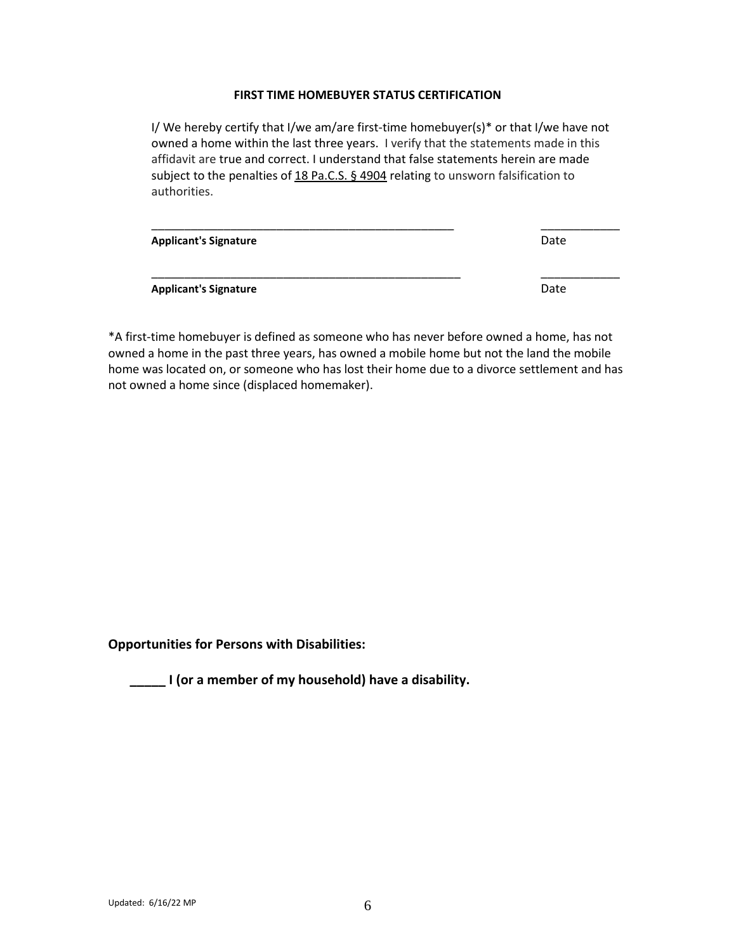## **FIRST TIME HOMEBUYER STATUS CERTIFICATION**

I/ We hereby certify that I/we am/are first-time homebuyer(s)\* or that I/we have not owned a home within the last three years. I verify that the statements made in this affidavit are true and correct. I understand that false statements herein are made subject to the penalties of [18 Pa.C.S. § 4904](https://1.next.westlaw.com/Link/Document/FullText?findType=L&pubNum=1000262&cite=PA18S4904&originatingDoc=N4A91DE10955311DC8EE2CC9F7361D50B&refType=LQ&originationContext=document&transitionType=DocumentItem&contextData=(sc.Search)) relating to unsworn falsification to authorities.

| <b>Applicant's Signature</b> | Date |
|------------------------------|------|
| <b>Applicant's Signature</b> | Date |

\*A first-time homebuyer is defined as someone who has never before owned a home, has not owned a home in the past three years, has owned a mobile home but not the land the mobile home was located on, or someone who has lost their home due to a divorce settlement and has not owned a home since (displaced homemaker).

**Opportunities for Persons with Disabilities:**

**\_\_\_\_\_ I (or a member of my household) have a disability.**